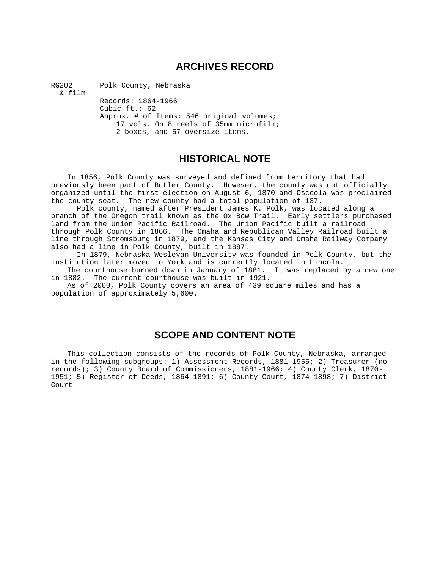# **ARCHIVES RECORD**

RG202 Polk County, Nebraska

& film

 Records: 1864-1966 Cubic ft.: 62 Approx. # of Items: 546 original volumes; 17 vols. On 8 reels of 35mm microfilm; 2 boxes, and 57 oversize items.

# **HISTORICAL NOTE**

 In 1856, Polk County was surveyed and defined from territory that had previously been part of Butler County. However, the county was not officially organized until the first election on August 6, 1870 and Osceola was proclaimed the county seat. The new county had a total population of 137.

Polk county, named after President James K. Polk, was located along a branch of the Oregon trail known as the Ox Bow Trail. Early settlers purchased land from the Union Pacific Railroad. The Union Pacific built a railroad through Polk County in 1866. The Omaha and Republican Valley Railroad built a line through Stromsburg in 1879, and the Kansas City and Omaha Railway Company also had a line in Polk County, built in 1887.

In 1879, Nebraska Wesleyan University was founded in Polk County, but the institution later moved to York and is currently located in Lincoln.

 The courthouse burned down in January of 1881. It was replaced by a new one in 1882. The current courthouse was built in 1921.

 As of 2000, Polk County covers an area of 439 square miles and has a population of approximately 5,600.

# **SCOPE AND CONTENT NOTE**

This collection consists of the records of Polk County, Nebraska, arranged in the following subgroups: 1) Assessment Records, 1881-1955; 2) Treasurer (no records); 3) County Board of Commissioners, 1881-1966; 4) County Clerk, 1870- 1951; 5) Register of Deeds, 1864-1891; 6) County Court, 1874-1898; 7) District Court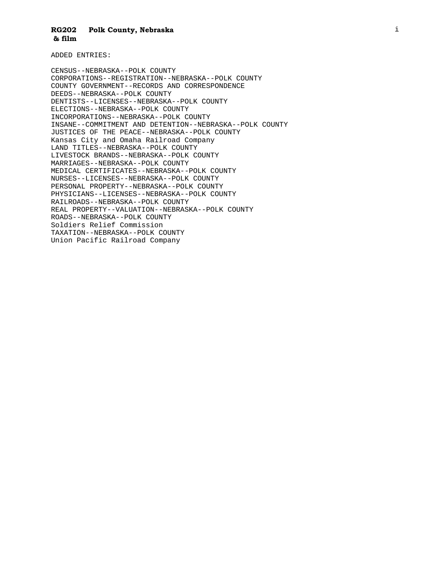ADDED ENTRIES:

CENSUS--NEBRASKA--POLK COUNTY CORPORATIONS--REGISTRATION--NEBRASKA--POLK COUNTY COUNTY GOVERNMENT--RECORDS AND CORRESPONDENCE DEEDS--NEBRASKA--POLK COUNTY DENTISTS--LICENSES--NEBRASKA--POLK COUNTY ELECTIONS--NEBRASKA--POLK COUNTY INCORPORATIONS--NEBRASKA--POLK COUNTY INSANE--COMMITMENT AND DETENTION--NEBRASKA--POLK COUNTY JUSTICES OF THE PEACE--NEBRASKA--POLK COUNTY Kansas City and Omaha Railroad Company LAND TITLES--NEBRASKA--POLK COUNTY LIVESTOCK BRANDS--NEBRASKA--POLK COUNTY MARRIAGES--NEBRASKA--POLK COUNTY MEDICAL CERTIFICATES--NEBRASKA--POLK COUNTY NURSES--LICENSES--NEBRASKA--POLK COUNTY PERSONAL PROPERTY--NEBRASKA--POLK COUNTY PHYSICIANS--LICENSES--NEBRASKA--POLK COUNTY RAILROADS--NEBRASKA--POLK COUNTY REAL PROPERTY--VALUATION--NEBRASKA--POLK COUNTY ROADS--NEBRASKA--POLK COUNTY Soldiers Relief Commission TAXATION--NEBRASKA--POLK COUNTY Union Pacific Railroad Company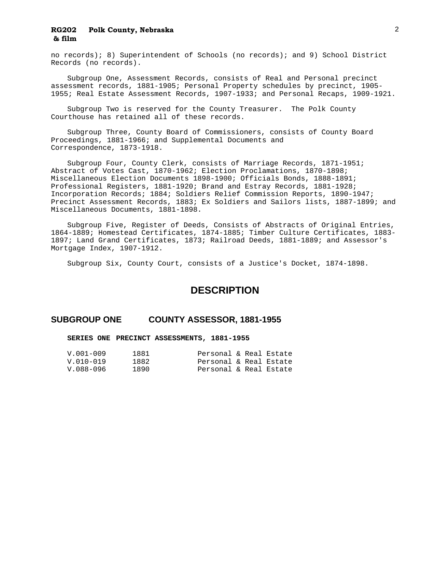no records); 8) Superintendent of Schools (no records); and 9) School District Records (no records).

 Subgroup One, Assessment Records, consists of Real and Personal precinct assessment records, 1881-1905; Personal Property schedules by precinct, 1905- 1955; Real Estate Assessment Records, 1907-1933; and Personal Recaps, 1909-1921.

 Subgroup Two is reserved for the County Treasurer. The Polk County Courthouse has retained all of these records.

 Subgroup Three, County Board of Commissioners, consists of County Board Proceedings, 1881-1966; and Supplemental Documents and Correspondence, 1873-1918.

 Subgroup Four, County Clerk, consists of Marriage Records, 1871-1951; Abstract of Votes Cast, 1870-1962; Election Proclamations, 1870-1898; Miscellaneous Election Documents 1898-1900; Officials Bonds, 1888-1891; Professional Registers, 1881-1920; Brand and Estray Records, 1881-1928; Incorporation Records; 1884; Soldiers Relief Commission Reports, 1890-1947; Precinct Assessment Records, 1883; Ex Soldiers and Sailors lists, 1887-1899; and Miscellaneous Documents, 1881-1898.

 Subgroup Five, Register of Deeds, Consists of Abstracts of Original Entries, 1864-1889; Homestead Certificates, 1874-1885; Timber Culture Certificates, 1883- 1897; Land Grand Certificates, 1873; Railroad Deeds, 1881-1889; and Assessor's Mortgage Index, 1907-1912.

Subgroup Six, County Court, consists of a Justice's Docket, 1874-1898.

## **DESCRIPTION**

### **SUBGROUP ONE COUNTY ASSESSOR, 1881-1955**

### **SERIES ONE PRECINCT ASSESSMENTS, 1881-1955**

| $V.001 - 009$ | 1881  | Personal & Real Estate |  |  |
|---------------|-------|------------------------|--|--|
| $V.010-019$   | 1882  | Personal & Real Estate |  |  |
| V.088-096     | 1890. | Personal & Real Estate |  |  |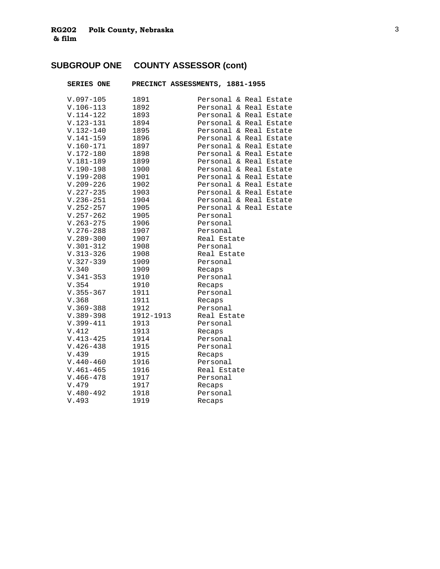# **SUBGROUP ONE COUNTY ASSESSOR (cont)**

| <b>SERIES ONE</b> | PRECINCT ASSESSMENTS, 1881-1955 |             |  |                        |
|-------------------|---------------------------------|-------------|--|------------------------|
| $V.097 - 105$     | 1891                            |             |  | Personal & Real Estate |
| $V.106-113$       | 1892                            |             |  | Personal & Real Estate |
| $V.114-122$       | 1893                            |             |  | Personal & Real Estate |
| $V.123 - 131$     | 1894                            |             |  | Personal & Real Estate |
| $V.132 - 140$     | 1895                            |             |  | Personal & Real Estate |
| $V.141 - 159$     | 1896                            |             |  | Personal & Real Estate |
| $V.160 - 171$     | 1897                            |             |  | Personal & Real Estate |
| $V.172 - 180$     | 1898                            |             |  | Personal & Real Estate |
| $V.181 - 189$     | 1899                            |             |  | Personal & Real Estate |
| $V.190-198$       | 1900                            |             |  | Personal & Real Estate |
| $V.199 - 208$     | 1901                            |             |  | Personal & Real Estate |
| $V.209 - 226$     | 1902                            |             |  | Personal & Real Estate |
| $V.227 - 235$     | 1903                            |             |  | Personal & Real Estate |
| $V.236 - 251$     | 1904                            |             |  | Personal & Real Estate |
| $V.252 - 257$     | 1905                            |             |  | Personal & Real Estate |
| $V.257 - 262$     | 1905                            | Personal    |  |                        |
| $V.263 - 275$     | 1906                            | Personal    |  |                        |
| $V.276 - 288$     | 1907                            | Personal    |  |                        |
| $V.289 - 300$     | 1907                            | Real Estate |  |                        |
| $V.301 - 312$     | 1908                            | Personal    |  |                        |
| $V.313 - 326$     | 1908                            | Real Estate |  |                        |
| $V.327 - 339$     | 1909                            | Personal    |  |                        |
| V.340             | 1909                            | Recaps      |  |                        |
| $V.341 - 353$     | 1910                            | Personal    |  |                        |
| V.354             | 1910                            | Recaps      |  |                        |
| $V.355 - 367$     | 1911                            | Personal    |  |                        |
| V.368             | 1911                            | Recaps      |  |                        |
| $V.369 - 388$     | 1912                            | Personal    |  |                        |
| $V.389 - 398$     | 1912-1913                       | Real Estate |  |                        |
| $V.399 - 411$     | 1913                            | Personal    |  |                        |
| V.412             | 1913                            | Recaps      |  |                        |
| $V.413 - 425$     | 1914                            | Personal    |  |                        |
| $V.426 - 438$     | 1915                            | Personal    |  |                        |
| V.439             | 1915                            | Recaps      |  |                        |
| $V.440 - 460$     | 1916                            | Personal    |  |                        |
| $V.461 - 465$     | 1916                            | Real Estate |  |                        |
| $V.466 - 478$     | 1917                            | Personal    |  |                        |
| V.479             | 1917                            | Recaps      |  |                        |
| $V.480 - 492$     | 1918                            | Personal    |  |                        |
| V.493             | 1919                            | Recaps      |  |                        |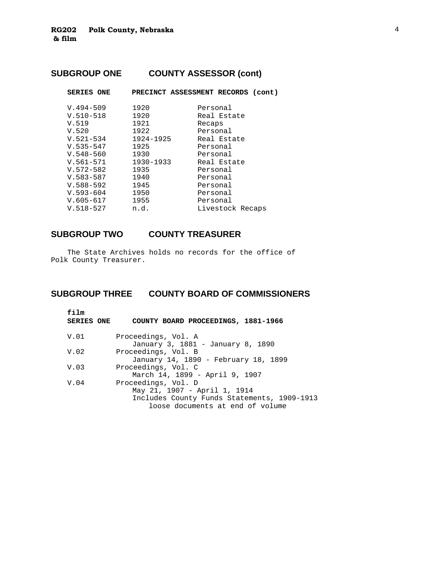# **SUBGROUP ONE COUNTY ASSESSOR (cont)**

| <b>SERIES ONE</b> | PRECINCT ASSESSMENT RECORDS (cont) |          |                  |  |
|-------------------|------------------------------------|----------|------------------|--|
| $V.494 - 509$     | 1920                               | Personal |                  |  |
| $V.510 - 518$     | 1920                               |          | Real Estate      |  |
| V.519             | 1921                               | Recaps   |                  |  |
| V.520             | 1922                               | Personal |                  |  |
| $V.521 - 534$     | 1924-1925                          |          | Real Estate      |  |
| $V.535 - 547$     | 1925                               | Personal |                  |  |
| $V.548 - 560$     | 1930                               | Personal |                  |  |
| $V.561 - 571$     | 1930-1933                          |          | Real Estate      |  |
| $V.572 - 582$     | 1935                               | Personal |                  |  |
| $V.583 - 587$     | 1940                               | Personal |                  |  |
| $V.588 - 592$     | 1945                               | Personal |                  |  |
| $V.593 - 604$     | 1950                               | Personal |                  |  |
| $V.605 - 617$     | 1955                               | Personal |                  |  |
| $V.518 - 527$     | n.d.                               |          | Livestock Recaps |  |
|                   |                                    |          |                  |  |

# **SUBGROUP TWO COUNTY TREASURER**

 The State Archives holds no records for the office of Polk County Treasurer.

# **SUBGROUP THREE COUNTY BOARD OF COMMISSIONERS**

| f <sub>i</sub> 1m<br><b>SERIES ONE</b> | COUNTY BOARD PROCEEDINGS, 1881-1966                                                                                                    |
|----------------------------------------|----------------------------------------------------------------------------------------------------------------------------------------|
| V.O1                                   | Proceedings, Vol. A<br>January 3, 1881 - January 8, 1890                                                                               |
| V.02                                   | Proceedings, Vol. B<br>January 14, 1890 - February 18, 1899                                                                            |
| V.03                                   | Proceedings, Vol. C<br>March 14, 1899 - April 9, 1907                                                                                  |
| V.04                                   | Proceedings, Vol. D<br>May 21, 1907 - April 1, 1914<br>Includes County Funds Statements, 1909-1913<br>loose documents at end of volume |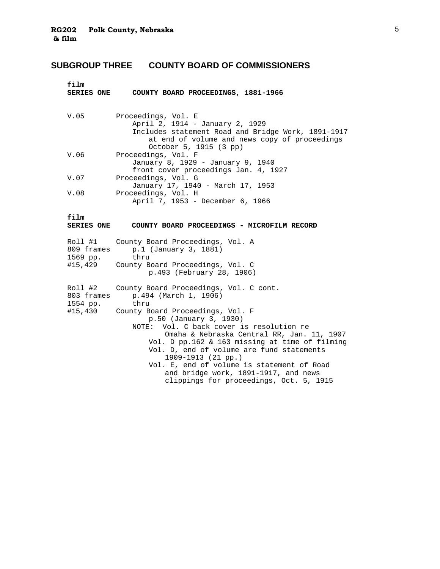# **SUBGROUP THREE COUNTY BOARD OF COMMISSIONERS**

| <b>SERIES ONE</b><br>COUNTY BOARD PROCEEDINGS, 1881-1966                                                                                                                                                                                                                                                                                                                                                                                                                              |
|---------------------------------------------------------------------------------------------------------------------------------------------------------------------------------------------------------------------------------------------------------------------------------------------------------------------------------------------------------------------------------------------------------------------------------------------------------------------------------------|
| Proceedings, Vol. E<br>April 2, 1914 - January 2, 1929<br>Includes statement Road and Bridge Work, 1891-1917<br>at end of volume and news copy of proceedings<br>October 5, 1915 (3 pp)                                                                                                                                                                                                                                                                                               |
| Proceedings, Vol. F<br>January 8, 1929 - January 9, 1940<br>front cover proceedings Jan. 4, 1927                                                                                                                                                                                                                                                                                                                                                                                      |
| Proceedings, Vol. G<br>January 17, 1940 - March 17, 1953                                                                                                                                                                                                                                                                                                                                                                                                                              |
| Proceedings, Vol. H<br>April 7, 1953 - December 6, 1966                                                                                                                                                                                                                                                                                                                                                                                                                               |
| COUNTY BOARD PROCEEDINGS - MICROFILM RECORD                                                                                                                                                                                                                                                                                                                                                                                                                                           |
| County Board Proceedings, Vol. A<br>p.1 (January 3, 1881)<br>thru<br>County Board Proceedings, Vol. C<br>p.493 (February 28, 1906)                                                                                                                                                                                                                                                                                                                                                    |
| County Board Proceedings, Vol. C cont.<br>p.494 (March 1, 1906)<br>thru<br>County Board Proceedings, Vol. F<br>p.50 (January 3, 1930)<br>NOTE: Vol. C back cover is resolution re<br>Omaha & Nebraska Central RR, Jan. 11, 1907<br>Vol. D pp.162 & 163 missing at time of filming<br>Vol. D, end of volume are fund statements<br>1909-1913 (21 pp.)<br>Vol. E, end of volume is statement of Road<br>and bridge work, 1891-1917, and news<br>clippings for proceedings, Oct. 5, 1915 |
|                                                                                                                                                                                                                                                                                                                                                                                                                                                                                       |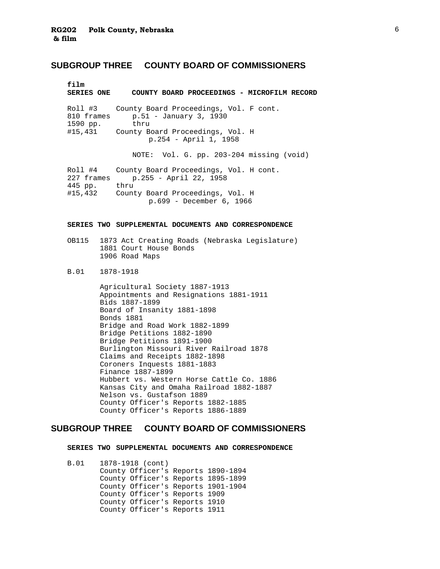### **SUBGROUP THREE COUNTY BOARD OF COMMISSIONERS**

| film<br><b>SERIES ONE</b>                        | COUNTY BOARD PROCEEDINGS - MICROFILM RECORD                                                                                                     |
|--------------------------------------------------|-------------------------------------------------------------------------------------------------------------------------------------------------|
| Roll #3<br>810 frames<br>1590 pp.                | County Board Proceedings, Vol. F cont.<br>$p.51 - January 3, 1930$<br>thru<br>#15,431 County Board Proceedings, Vol. H<br>p.254 - April 1, 1958 |
|                                                  | NOTE: Vol. G. pp. 203-204 missing (void)                                                                                                        |
| Roll #4<br>227 frames<br>445 pp. thru<br>#15,432 | County Board Proceedings, Vol. H cont.<br>p.255 - April 22, 1958<br>County Board Proceedings, Vol. H<br>p.699 - December 6, 1966                |

### **SERIES TWO SUPPLEMENTAL DOCUMENTS AND CORRESPONDENCE**

- OB115 1873 Act Creating Roads (Nebraska Legislature) 1881 Court House Bonds 1906 Road Maps
- B.01 1878-1918
	- Agricultural Society 1887-1913 Appointments and Resignations 1881-1911 Bids 1887-1899 Board of Insanity 1881-1898 Bonds 1881 Bridge and Road Work 1882-1899 Bridge Petitions 1882-1890 Bridge Petitions 1891-1900 Burlington Missouri River Railroad 1878 Claims and Receipts 1882-1898 Coroners Inquests 1881-1883 Finance 1887-1899 Hubbert vs. Western Horse Cattle Co. 1886 Kansas City and Omaha Railroad 1882-1887 Nelson vs. Gustafson 1889 County Officer's Reports 1882-1885 County Officer's Reports 1886-1889

### **SUBGROUP THREE COUNTY BOARD OF COMMISSIONERS**

 **SERIES TWO SUPPLEMENTAL DOCUMENTS AND CORRESPONDENCE** 

 B.01 1878-1918 (cont) County Officer's Reports 1890-1894 County Officer's Reports 1895-1899 County Officer's Reports 1901-1904 County Officer's Reports 1909 County Officer's Reports 1910 County Officer's Reports 1911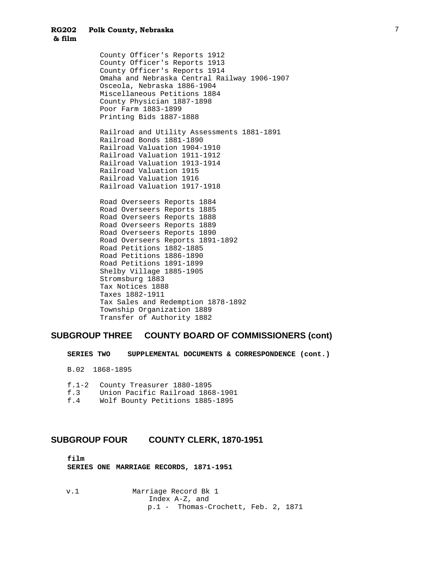County Officer's Reports 1912 County Officer's Reports 1913 County Officer's Reports 1914 Omaha and Nebraska Central Railway 1906-1907 Osceola, Nebraska 1886-1904 Miscellaneous Petitions 1884 County Physician 1887-1898 Poor Farm 1883-1899 Printing Bids 1887-1888 Railroad and Utility Assessments 1881-1891 Railroad Bonds 1881-1890 Railroad Valuation 1904-1910 Railroad Valuation 1911-1912 Railroad Valuation 1913-1914 Railroad Valuation 1915 Railroad Valuation 1916 Railroad Valuation 1917-1918 Road Overseers Reports 1884 Road Overseers Reports 1885 Road Overseers Reports 1888 Road Overseers Reports 1889 Road Overseers Reports 1890 Road Overseers Reports 1891-1892 Road Petitions 1882-1885 Road Petitions 1886-1890 Road Petitions 1891-1899 Shelby Village 1885-1905 Stromsburg 1883 Tax Notices 1888 Taxes 1882-1911 Tax Sales and Redemption 1878-1892 Township Organization 1889 Transfer of Authority 1882

### **SUBGROUP THREE COUNTY BOARD OF COMMISSIONERS (cont)**

 **SERIES TWO SUPPLEMENTAL DOCUMENTS & CORRESPONDENCE (cont.)** 

B.02 1868-1895

f.1-2 County Treasurer 1880-1895

- f.3 Union Pacific Railroad 1868-1901
- Wolf Bounty Petitions 1885-1895

### **SUBGROUP FOUR COUNTY CLERK, 1870-1951**

 **film SERIES ONE MARRIAGE RECORDS, 1871-1951** 

v.1 Marriage Record Bk 1 Index A-Z, and p.1 - Thomas-Crochett, Feb. 2, 1871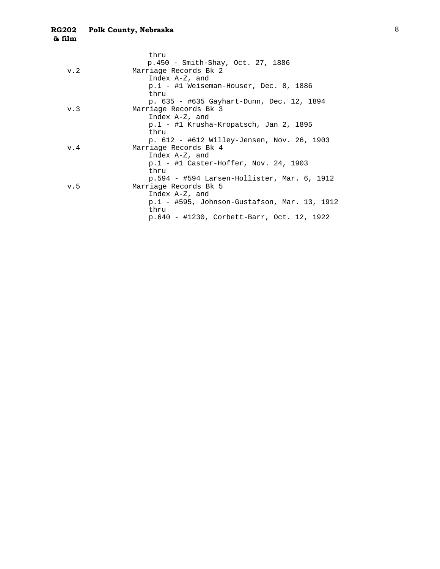| thru                                          |                                              |
|-----------------------------------------------|----------------------------------------------|
| p.450 - Smith-Shay, Oct. 27, 1886             |                                              |
| Marriage Records Bk 2<br>v.2                  |                                              |
| Index $A-Z$ , and                             |                                              |
| $p.1$ - #1 Weiseman-Houser, Dec. 8, 1886      |                                              |
| thru                                          |                                              |
| p. 635 - #635 Gayhart-Dunn, Dec. 12, 1894     |                                              |
| Marriage Records Bk 3<br>v.3                  |                                              |
| Index $A-Z$ , and                             |                                              |
| p.1 - #1 Krusha-Kropatsch, Jan 2, 1895        |                                              |
| thru                                          |                                              |
| p. 612 - #612 Willey-Jensen, Nov. 26, 1903    |                                              |
| Marriage Records Bk 4<br>v.4                  |                                              |
| Index $A-Z$ , and                             |                                              |
| $p.1$ - #1 Caster-Hoffer, Nov. 24, 1903       |                                              |
| thru                                          |                                              |
| $p.594 - #594$ Larsen-Hollister, Mar. 6, 1912 |                                              |
| Marriage Records Bk 5<br>v.5                  |                                              |
| Index A-Z, and                                |                                              |
|                                               | p.1 - #595, Johnson-Gustafson, Mar. 13, 1912 |
| thru                                          |                                              |
| p.640 - #1230, Corbett-Barr, Oct. 12, 1922    |                                              |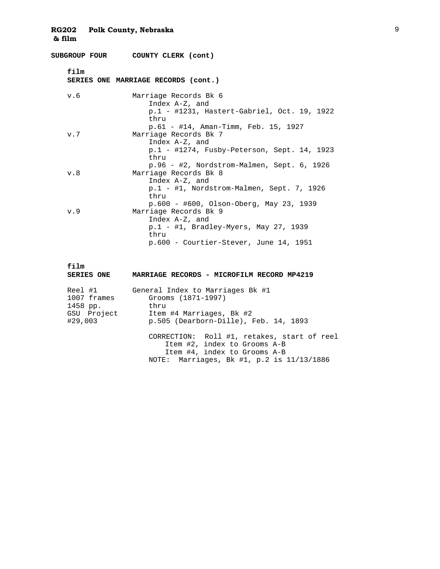|      | SUBGROUP FOUR COUNTY CLERK (cont)                                                                                                            |
|------|----------------------------------------------------------------------------------------------------------------------------------------------|
| film | SERIES ONE MARRIAGE RECORDS (cont.)                                                                                                          |
| v.6  | Marriage Records Bk 6<br>Index A-Z, and<br>p.1 - #1231, Hastert-Gabriel, Oct. 19, 1922<br>thru<br>p.61 - #14, Aman-Timm, Feb. 15, 1927       |
| v.7  | Marriage Records Bk 7<br>Index A-Z, and<br>p.1 - #1274, Fusby-Peterson, Sept. 14, 1923<br>thru<br>p.96 - #2, Nordstrom-Malmen, Sept. 6, 1926 |
| v.8  | Marriage Records Bk 8<br>Index A-Z, and<br>p.1 - #1, Nordstrom-Malmen, Sept. 7, 1926<br>thru<br>$p.600 - #600$ , Olson-Oberg, May 23, 1939   |
| v.9  | Marriage Records Bk 9<br>Index A-Z, and<br>$p.1$ - #1, Bradley-Myers, May 27, 1939<br>thru<br>p.600 - Courtier-Stever, June 14, 1951         |

| film<br><b>SERIES ONE</b> | MARRIAGE RECORDS - MICROFILM RECORD MP4219 |
|---------------------------|--------------------------------------------|
| Reel #1                   | General Index to Marriages Bk #1           |

| 1007 frames | Grooms (1871-1997)                    |
|-------------|---------------------------------------|
| 1458 pp.    | thru                                  |
| GSU Project | Item #4 Marriages, Bk #2              |
| #29,003     | p.505 (Dearborn-Dille), Feb. 14, 1893 |
|             |                                       |

 CORRECTION: Roll #1, retakes, start of reel Item #2, index to Grooms A-B Item #4, index to Grooms A-B NOTE: Marriages, Bk #1, p.2 is 11/13/1886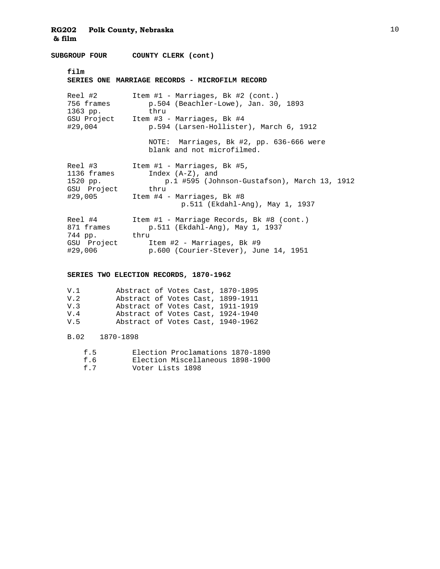**SUBGROUP FOUR COUNTY CLERK (cont)**

 **film** 

|                                                        | SERIES ONE MARRIAGE RECORDS - MICROFILM RECORD                                                                                                                                         |
|--------------------------------------------------------|----------------------------------------------------------------------------------------------------------------------------------------------------------------------------------------|
| Reel #2<br>756 frames<br>1363 pp.                      | Item $#1$ - Marriages, Bk $#2$ (cont.)<br>$p.504$ (Beachler-Lowe), Jan. 30, 1893<br>thru                                                                                               |
|                                                        | GSU Project Item #3 - Marriages, Bk #4                                                                                                                                                 |
| #29,004                                                | p.594 (Larsen-Hollister), March 6, 1912                                                                                                                                                |
|                                                        | NOTE: Marriages, Bk #2, pp. 636-666 were<br>blank and not microfilmed.                                                                                                                 |
| Reel #3<br>1136 frames<br>1520 pp.<br>GSU Project thru | Item $#1$ - Marriages, Bk $#5$ ,<br>Index $(A-Z)$ , and<br>p.1 #595 (Johnson-Gustafson), March 13, 1912<br>$#29,005$ Item $#4$ - Marriages, Bk $#8$<br>p.511 (Ekdahl-Ang), May 1, 1937 |
| Reel #4<br>871 frames<br>744 pp. thru<br>GSU Project   | Item #1 - Marriage Records, Bk #8 (cont.)<br>p.511 (Ekdahl-Ang), May 1, 1937<br>Item #2 - Marriages, Bk #9                                                                             |
| #29,006                                                | p.600 (Courier-Stever), June 14, 1951                                                                                                                                                  |

### **SERIES TWO ELECTION RECORDS, 1870-1962**

| V.1  | Abstract of Votes Cast, 1870-1895 |  |  |
|------|-----------------------------------|--|--|
| V.2  | Abstract of Votes Cast, 1899-1911 |  |  |
| V.3  | Abstract of Votes Cast, 1911-1919 |  |  |
| V.4  | Abstract of Votes Cast, 1924-1940 |  |  |
| 77 5 | Abstract of Votes Cast, 1940-1962 |  |  |

### B.02 1870-1898

| f.5 | Election Proclamations 1870-1890 |  |
|-----|----------------------------------|--|
| f.6 | Election Miscellaneous 1898-1900 |  |
| f.7 | Voter Lists 1898                 |  |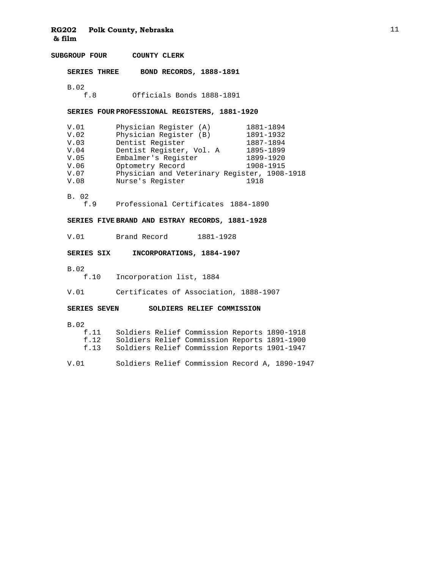**SUBGROUP FOUR COUNTY CLERK SERIES THREE BOND RECORDS, 1888-1891** B.02<br>f.8 Officials Bonds 1888-1891 **SERIES FOUR PROFESSIONAL REGISTERS, 1881-1920** V.01 Physician Register (A) 1881-1894<br>V.02 Physician Register (B) 1891-1932 V.02 Physician Register (B) 1891-1932 V.03 Dentist Register 1887-1894<br>V.04 Dentist Register, Vol. A 1895-1899 V.04 Dentist Register, Vol. A<br>V.05 Embalmer's Register V.05 Embalmer's Register 1899-1920<br>V.06 Optometry Record 1908-1915 V.06 Optometry Record<br>V.07 Physician and Vet Physician and Veterinary Register, 1908-1918 V.08 Nurse's Register 1918 B. 02 f.9 Professional Certificates 1884-1890 **SERIES FIVE BRAND AND ESTRAY RECORDS, 1881-1928** V.01 Brand Record 1881-1928 **SERIES SIX INCORPORATIONS, 1884-1907**  $\begin{array}{c} \texttt{B.02} \\ \texttt{f.10} \end{array}$ Incorporation list, 1884 V.01 Certificates of Association, 1888-1907 **SERIES SEVEN SOLDIERS RELIEF COMMISSION**  B.02<br>f.11 Soldiers Relief Commission Reports 1890-1918 f.12 Soldiers Relief Commission Reports 1891-1900 Soldiers Relief Commission Reports 1901-1947 V.01 Soldiers Relief Commission Record A, 1890-1947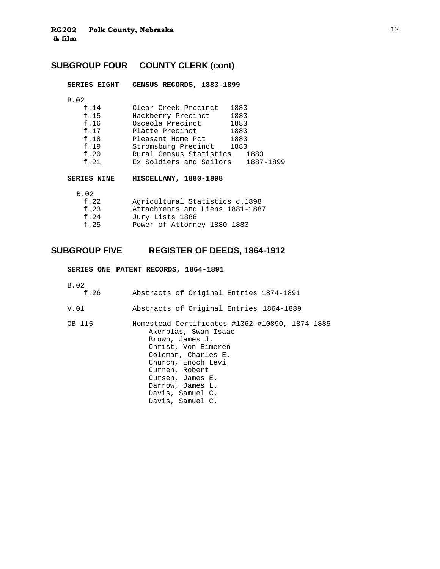# **SUBGROUP FOUR COUNTY CLERK (cont)**

| CENSUS RECORDS, 1883-1899<br><b>SERIES EIGHT</b> |  |
|--------------------------------------------------|--|
|--------------------------------------------------|--|

B.02

| f.14 | Clear Creek Precinct    | 1883 |           |
|------|-------------------------|------|-----------|
| f.15 | Hackberry Precinct      | 1883 |           |
| f.16 | Osceola Precinct        | 1883 |           |
| f.17 | Platte Precinct         | 1883 |           |
| f.18 | Pleasant Home Pct       | 1883 |           |
| f.19 | Stromsburg Precinct     | 1883 |           |
| f.20 | Rural Census Statistics |      | 1883      |
| f.21 | Ex Soldiers and Sailors |      | 1887-1899 |
|      |                         |      |           |

**SERIES NINE MISCELLANY, 1880-1898**

| B.O2 |                                 |
|------|---------------------------------|
| f.22 | Agricultural Statistics c.1898  |
| f.23 | Attachments and Liens 1881-1887 |
| f.24 | Jury Lists 1888                 |
| f.25 | Power of Attorney 1880-1883     |
|      |                                 |

## **SUBGROUP FIVE REGISTER OF DEEDS, 1864-1912**

**SERIES ONE PATENT RECORDS, 1864-1891**

B.02

| f.26   | Abstracts of Original Entries 1874-1891                                                                                                 |
|--------|-----------------------------------------------------------------------------------------------------------------------------------------|
| V.01   | Abstracts of Original Entries 1864-1889                                                                                                 |
| OB 115 | Homestead Certificates #1362-#10890, 1874-1885<br>Akerblas, Swan Isaac<br>Brown, James J.<br>Christ, Von Eimeren<br>Coleman, Charles E. |

Church, Enoch Levi Curren, Robert Cursen, James E. Darrow, James L. Davis, Samuel C. Davis, Samuel C.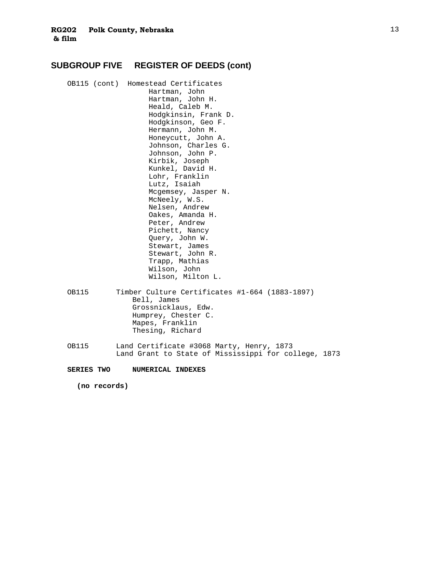## **SUBGROUP FIVE REGISTER OF DEEDS (cont)**

- OB115 (cont) Homestead Certificates Hartman, John Hartman, John H. Heald, Caleb M. Hodgkinsin, Frank D. Hodgkinson, Geo F. Hermann, John M. Honeycutt, John A. Johnson, Charles G. Johnson, John P. Kirbik, Joseph Kunkel, David H. Lohr, Franklin Lutz, Isaiah Mcgemsey, Jasper N. McNeely, W.S. Nelsen, Andrew Oakes, Amanda H. Peter, Andrew Pichett, Nancy Query, John W. Stewart, James Stewart, John R. Trapp, Mathias Wilson, John Wilson, Milton L. OB115 Timber Culture Certificates #1-664 (1883-1897) Bell, James
	- Grossnicklaus, Edw. Humprey, Chester C. Mapes, Franklin Thesing, Richard
- OB115 Land Certificate #3068 Marty, Henry, 1873 Land Grant to State of Mississippi for college, 1873

**SERIES TWO NUMERICAL INDEXES**

**(no records)**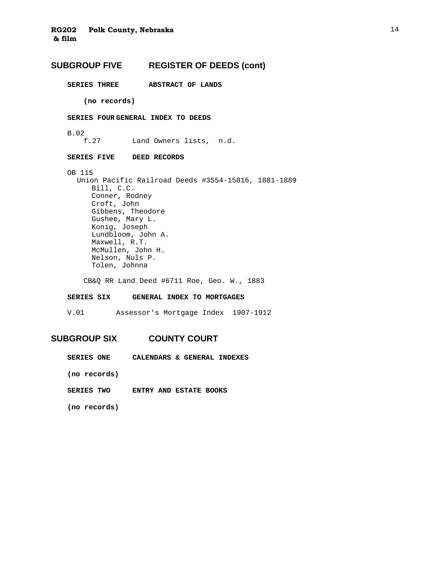## **SUBGROUP FIVE REGISTER OF DEEDS (cont)**

**SERIES THREE ABSTRACT OF LANDS** 

 **(no records)** 

### **SERIES FOUR GENERAL INDEX TO DEEDS**

B.02

f.27 Land Owners lists, n.d.

### **SERIES FIVE DEED RECORDS**

 OB 115 Union Pacific Railroad Deeds #3554-15816, 1881-1889 Bill, C.C. Conner, Rodney Croft, John Gibbens, Theodore Gushee, Mary L. Konig, Joseph Lundbloom, John A. Maxwell, R.T. McMullen, John H. Nelson, Nuls P. Tolen, Johnna

CB&Q RR Land Deed #6711 Roe, Geo. W., 1883

### **SERIES SIX GENERAL INDEX TO MORTGAGES**

V.01 Assessor's Mortgage Index 1907-1912

### **SUBGROUP SIX COUNTY COURT**

**SERIES ONE CALENDARS & GENERAL INDEXES** 

 **(no records)** 

**SERIES TWO ENTRY AND ESTATE BOOKS** 

 **(no records)**